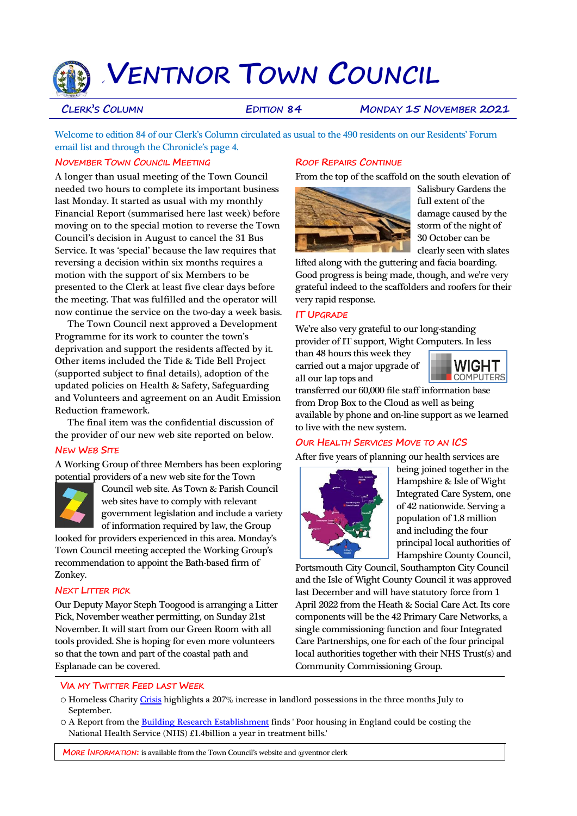# e`**VENTNOR TOWN COUNCIL**

**CLERK'S COLUMN EDITION 84 MONDAY 15 NOVEMBER 2021**

Welcome to edition 84 of our Clerk's Column circulated as usual to the 490 residents on our Residents' Forum email list and through the Chronicle's page 4.

#### **NOVEMBER TOWN COUNCIL MEETING**

A longer than usual meeting of the Town Council needed two hours to complete its important business last Monday. It started as usual with my monthly Financial Report (summarised here last week) before moving on to the special motion to reverse the Town Council's decision in August to cancel the 31 Bus Service. It was 'special' because the law requires that reversing a decision within six months requires a motion with the support of six Members to be presented to the Clerk at least five clear days before the meeting. That was fulfilled and the operator will now continue the service on the two-day a week basis.

 The Town Council next approved a Development Programme for its work to counter the town's deprivation and support the residents affected by it. Other items included the Tide & Tide Bell Project (supported subject to final details), adoption of the updated policies on Health & Safety, Safeguarding and Volunteers and agreement on an Audit Emission Reduction framework.

 The final item was the confidential discussion of the provider of our new web site reported on below.

#### **NEW WEB SITE**

A Working Group of three Members has been exploring potential providers of a new web site for the Town



Council web site. As Town & Parish Council web sites have to comply with relevant government legislation and include a variety of information required by law, the Group

looked for providers experienced in this area. Monday's Town Council meeting accepted the Working Group's recommendation to appoint the Bath-based firm of Zonkey.

#### **NEXT LITTER PICK**

Our Deputy Mayor Steph Toogood is arranging a Litter Pick, November weather permitting, on Sunday 21st November. It will start from our Green Room with all tools provided. She is hoping for even more volunteers so that the town and part of the coastal path and Esplanade can be covered.

## **ROOF REPAIRS CONTINUE**

From the top of the scaffold on the south elevation of



Salisbury Gardens the full extent of the damage caused by the storm of the night of 30 October can be clearly seen with slates

lifted along with the guttering and facia boarding. Good progress is being made, though, and we're very grateful indeed to the scaffolders and roofers for their very rapid response.

### **IT UPGRADE**

We're also very grateful to our long-standing provider of IT support, Wight Computers. In less

than 48 hours this week they carried out a major upgrade of all our lap tops and



transferred our 60,000 file staff information base from Drop Box to the Cloud as well as being available by phone and on-line support as we learned to live with the new system.

#### **OUR HEALTH SERVICES MOVE TO AN ICS**

After five years of planning our health services are



being joined together in the Hampshire & Isle of Wight Integrated Care System, one of 42 nationwide. Serving a population of 1.8 million and including the four principal local authorities of Hampshire County Council,

Portsmouth City Council, Southampton City Council and the Isle of Wight County Council it was approved last December and will have statutory force from 1 April 2022 from the Heath & Social Care Act. Its core components will be the 42 Primary Care Networks, a single commissioning function and four Integrated Care Partnerships, one for each of the four principal local authorities together with their NHS Trust(s) and Community Commissioning Group.

#### **VIA MY TWITTER FEED LAST WEEK**

- o Homeless Charit[y Crisis](https://t.co/XkdRJbtVMA) highlights a 207% increase in landlord possessions in the three months July to September.
- o A Report from the [Building Research Establishment](https://t.co/rMjxfA77cQ) finds ' Poor housing in England could be costing the National Health Service (NHS) £1.4billion a year in treatment bills.'

**MORE INFORMATION:** is available from the Town Council's website and @ventnor clerk